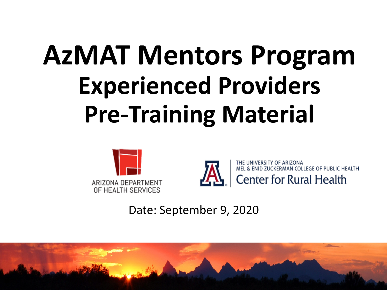# **AzMAT Mentors Program Experienced Providers Pre-Training Material**





UNIVERSITY OF ARIZONA MEL & ENID ZUCKERMAN COLLEGE OF PUBLIC HEALTH **Center for Rural Health** 

Date: September 9, 2020

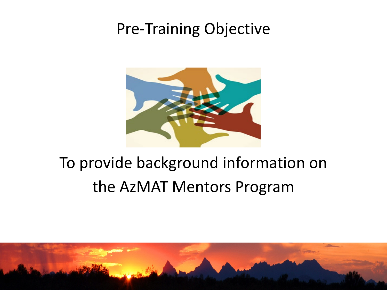#### Pre-Training Objective



## To provide background information on the AzMAT Mentors Program

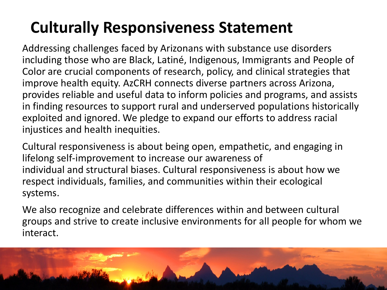### **Culturally Responsiveness Statement**

Addressing challenges faced by Arizonans with substance use disorders including those who are Black, Latiné, Indigenous, Immigrants and People of Color are crucial components of research, policy, and clinical strategies that improve health equity. AzCRH connects diverse partners across Arizona, provides reliable and useful data to inform policies and programs, and assists in finding resources to support rural and underserved populations historically exploited and ignored. We pledge to expand our efforts to address racial injustices and health inequities.

Cultural responsiveness is about being open, empathetic, and engaging in lifelong self-improvement to increase our awareness of individual and structural biases. Cultural responsiveness is about how we respect individuals, families, and communities within their ecological systems.

We also recognize and celebrate differences within and between cultural groups and strive to create inclusive environments for all people for whom we interact.

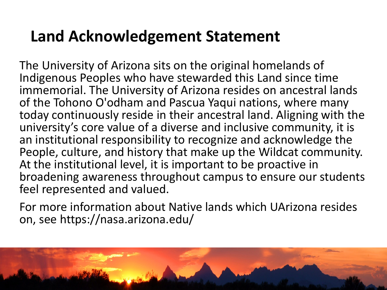#### **Land Acknowledgement Statement**

The University of Arizona sits on the original homelands of Indigenous Peoples who have stewarded this Land since time immemorial. The University of Arizona resides on ancestral lands of the Tohono O'odham and Pascua Yaqui nations, where many today continuously reside in their ancestral land. Aligning with the university's core value of a diverse and inclusive community, it is an institutional responsibility to recognize and acknowledge the People, culture, and history that make up the Wildcat community. At the institutional level, it is important to be proactive in broadening awareness throughout campus to ensure our students feel represented and valued.

For more information about Native lands which UArizona resides on, see https://nasa.arizona.edu/

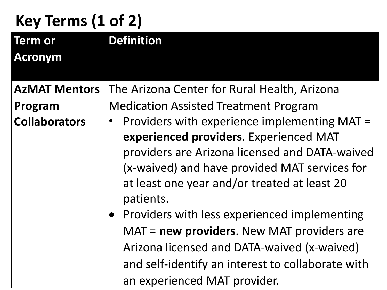| Key Terms (1 of 2)               |                                                                                                                                                                                                                                                                                                                       |
|----------------------------------|-----------------------------------------------------------------------------------------------------------------------------------------------------------------------------------------------------------------------------------------------------------------------------------------------------------------------|
| <b>Term or</b><br><b>Acronym</b> | <b>Definition</b>                                                                                                                                                                                                                                                                                                     |
| <b>AzMAT Mentors</b>             | The Arizona Center for Rural Health, Arizona                                                                                                                                                                                                                                                                          |
| Program                          | <b>Medication Assisted Treatment Program</b>                                                                                                                                                                                                                                                                          |
| <b>Collaborators</b>             | Providers with experience implementing MAT =<br>$\bullet$<br>experienced providers. Experienced MAT<br>providers are Arizona licensed and DATA-waived<br>(x-waived) and have provided MAT services for<br>at least one year and/or treated at least 20<br>patients.<br>• Providers with less experienced implementing |
|                                  | $MAT = new$ providers. New MAT providers are<br>Arizona licensed and DATA-waived (x-waived)<br>and self-identify an interest to collaborate with<br>an experienced MAT provider.                                                                                                                                      |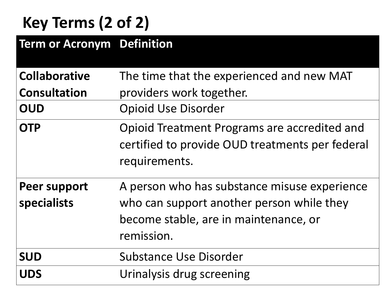### **Key Terms (2 of 2)**

#### **Term or Acronym Definition**

| <b>Collaborative</b><br><b>Consultation</b><br><b>OUD</b> | The time that the experienced and new MAT<br>providers work together.<br><b>Opioid Use Disorder</b>                                              |
|-----------------------------------------------------------|--------------------------------------------------------------------------------------------------------------------------------------------------|
| <b>OTP</b>                                                | Opioid Treatment Programs are accredited and<br>certified to provide OUD treatments per federal<br>requirements.                                 |
| <b>Peer support</b><br>specialists                        | A person who has substance misuse experience<br>who can support another person while they<br>become stable, are in maintenance, or<br>remission. |
| <b>SUD</b>                                                | <b>Substance Use Disorder</b>                                                                                                                    |
| <b>UDS</b>                                                | Urinalysis drug screening                                                                                                                        |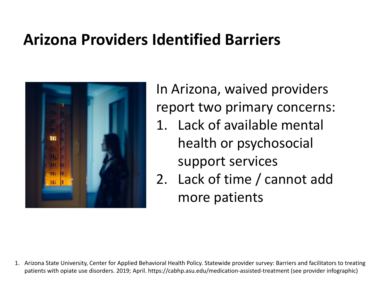#### **Arizona Providers Identified Barriers**



In Arizona, waived providers report two primary concerns:

- 1. Lack of available mental health or psychosocial support services
- 2. Lack of time / cannot add more patients

1. Arizona State University, Center for Applied Behavioral Health Policy. Statewide provider survey: Barriers and facilitators to treating patients with opiate use disorders. 2019; April. https://cabhp.asu.edu/medication-assisted-treatment (see provider infographic)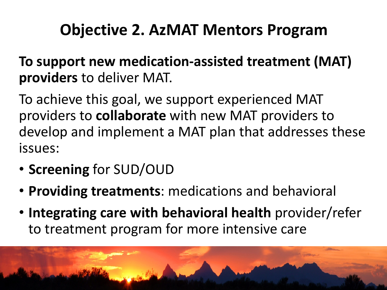#### **Objective 2. AzMAT Mentors Program**

**To support new medication-assisted treatment (MAT) providers** to deliver MAT.

To achieve this goal, we support experienced MAT providers to **collaborate** with new MAT providers to develop and implement a MAT plan that addresses these issues:

- **Screening** for SUD/OUD
- **Providing treatments**: medications and behavioral
- **Integrating care with behavioral health** provider/refer to treatment program for more intensive care

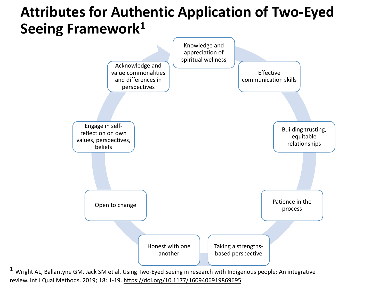#### **Attributes for Authentic Application of Two-Eyed Seeing Framework1**



 $1$  Wright AL, Ballantyne GM, Jack SM et al. Using Two-Eyed Seeing in research with Indigenous people: An integrative review. Int J Qual Methods. 2019; 18: 1-19. https://doi.org/10.1177/1609406919869695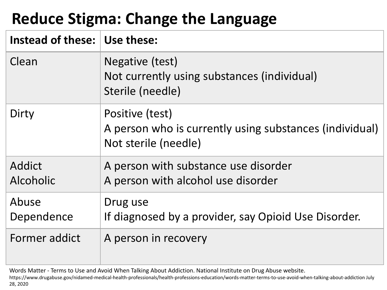#### **Reduce Stigma: Change the Language**

| Instead of these: Use these: |                                                                                                    |
|------------------------------|----------------------------------------------------------------------------------------------------|
| Clean                        | Negative (test)<br>Not currently using substances (individual)<br>Sterile (needle)                 |
| Dirty                        | Positive (test)<br>A person who is currently using substances (individual)<br>Not sterile (needle) |
| Addict<br><b>Alcoholic</b>   | A person with substance use disorder<br>A person with alcohol use disorder                         |
| Abuse<br>Dependence          | Drug use<br>If diagnosed by a provider, say Opioid Use Disorder.                                   |
| Former addict                | A person in recovery                                                                               |

Words Matter - Terms to Use and Avoid When Talking About Addiction. National Institute on Drug Abuse website.

https://www.drugabuse.gov/nidamed-medical-health-professionals/health-professions-education/words-matter-terms-to-use-avoid-when-talking-about-addiction July 28, 2020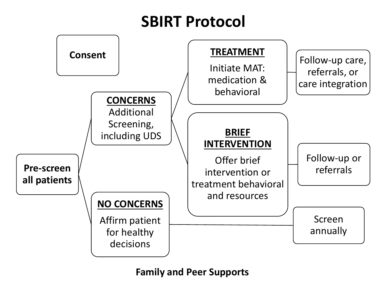#### **SBIRT Protocol**



**Family and Peer Supports**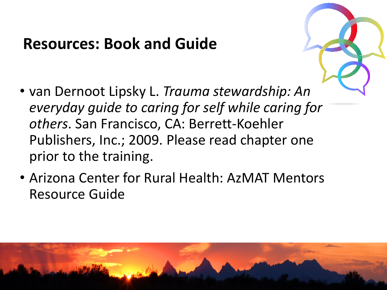#### **Resources: Book and Guide**



- van Dernoot Lipsky L. *Trauma stewardship: An everyday guide to caring for self while caring for others*. San Francisco, CA: Berrett-Koehler Publishers, Inc.; 2009. Please read chapter one prior to the training.
- Arizona Center for Rural Health: AzMAT Mentors Resource Guide

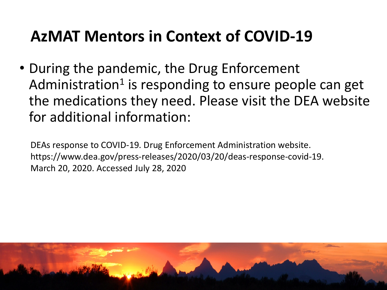#### **AzMAT Mentors in Context of COVID-19**

• During the pandemic, the Drug Enforcement Administration<sup>1</sup> is responding to ensure people can get the medications they need. Please visit the DEA website for additional information:

DEAs response to COVID-19. Drug Enforcement Administration website. https://www.dea.gov/press-releases/2020/03/20/deas-response-covid-19. March 20, 2020. Accessed July 28, 2020

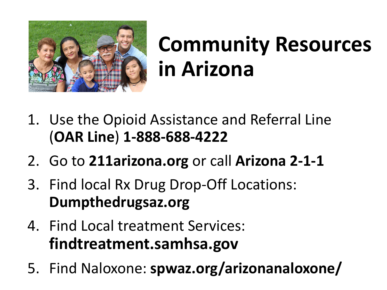

## **Community Resources in Arizona**

- 1. Use the Opioid Assistance and Referral Line (**OAR Line**) **1-888-688-4222**
- 2. Go to **211arizona.org** or call **Arizona 2-1-1**
- 3. Find local Rx Drug Drop-Off Locations: **Dumpthedrugsaz.org**
- 4. Find Local treatment Services: **findtreatment.samhsa.gov**
- 5. Find Naloxone: **spwaz.org/arizonanaloxone/**